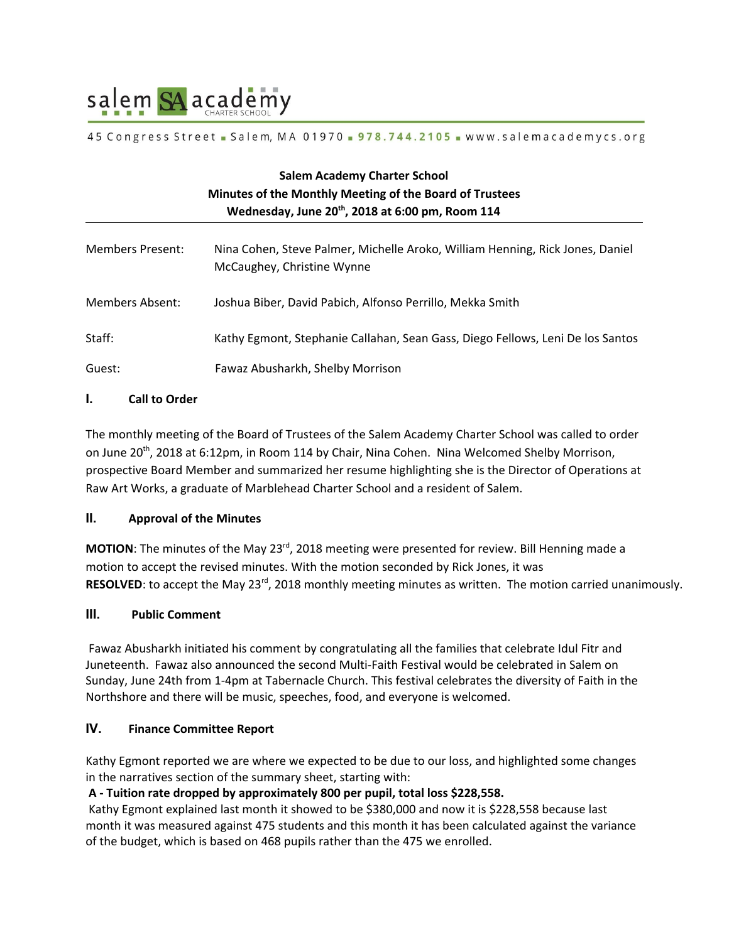

#### 45 Congress Street Salem, MA 01970 - 978.744.2105 - www.salemacademycs.org

| <b>Salem Academy Charter School</b><br>Minutes of the Monthly Meeting of the Board of Trustees<br>Wednesday, June 20 <sup>th</sup> , 2018 at 6:00 pm, Room 114 |                                                                                                             |
|----------------------------------------------------------------------------------------------------------------------------------------------------------------|-------------------------------------------------------------------------------------------------------------|
| Members Present:                                                                                                                                               | Nina Cohen, Steve Palmer, Michelle Aroko, William Henning, Rick Jones, Daniel<br>McCaughey, Christine Wynne |
| Members Absent:                                                                                                                                                | Joshua Biber, David Pabich, Alfonso Perrillo, Mekka Smith                                                   |
| Staff:                                                                                                                                                         | Kathy Egmont, Stephanie Callahan, Sean Gass, Diego Fellows, Leni De los Santos                              |
| Guest:                                                                                                                                                         | Fawaz Abusharkh, Shelby Morrison                                                                            |

## **I. Call to Order**

The monthly meeting of the Board of Trustees of the Salem Academy Charter School was called to order on June 20<sup>th</sup>, 2018 at 6:12pm, in Room 114 by Chair, Nina Cohen. Nina Welcomed Shelby Morrison, prospective Board Member and summarized her resume highlighting she is the Director of Operations at Raw Art Works, a graduate of Marblehead Charter School and a resident of Salem.

### **II. Approval of the Minutes**

**MOTION**: The minutes of the May 23<sup>rd</sup>, 2018 meeting were presented for review. Bill Henning made a motion to accept the revised minutes. With the motion seconded by Rick Jones, it was **RESOLVED**: to accept the May 23<sup>rd</sup>, 2018 monthly meeting minutes as written. The motion carried unanimously.

### **III. Public Comment**

Fawaz Abusharkh initiated his comment by congratulating all the families that celebrate Idul Fitr and Juneteenth. Fawaz also announced the second Multi-Faith Festival would be celebrated in Salem on Sunday, June 24th from 1-4pm at Tabernacle Church. This festival celebrates the diversity of Faith in the Northshore and there will be music, speeches, food, and everyone is welcomed.

### **IV. Finance Committee Report**

Kathy Egmont reported we are where we expected to be due to our loss, and highlighted some changes in the narratives section of the summary sheet, starting with:

### **A - Tuition rate dropped by approximately 800 per pupil, total loss \$228,558.**

Kathy Egmont explained last month it showed to be \$380,000 and now it is \$228,558 because last month it was measured against 475 students and this month it has been calculated against the variance of the budget, which is based on 468 pupils rather than the 475 we enrolled.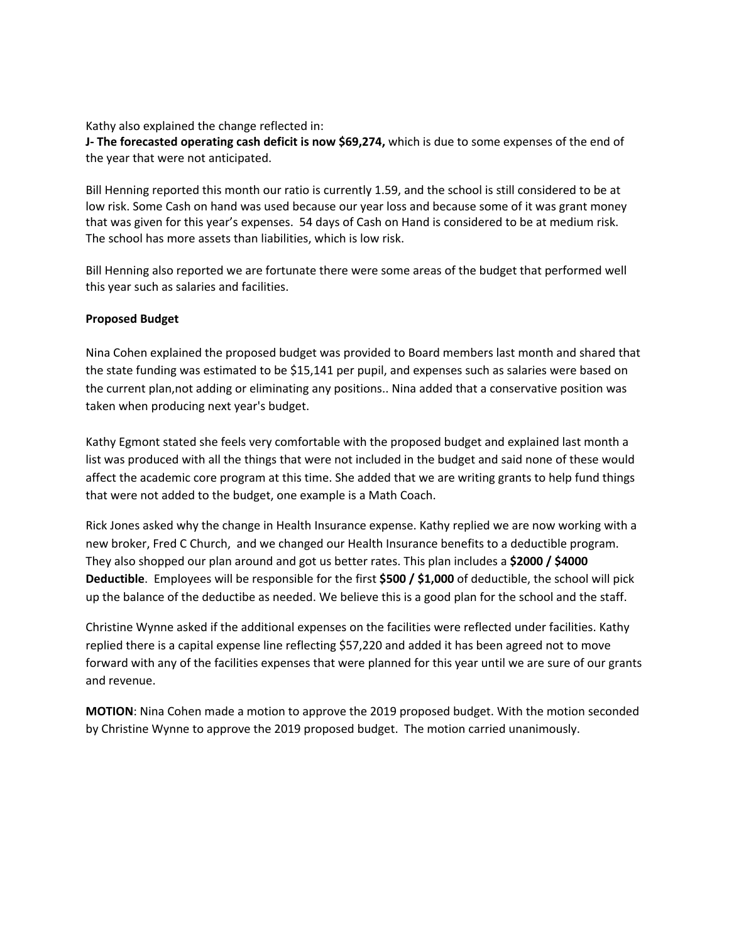Kathy also explained the change reflected in:

**J- The forecasted operating cash deficit is now \$69,274,** which is due to some expenses of the end of the year that were not anticipated.

Bill Henning reported this month our ratio is currently 1.59, and the school is still considered to be at low risk. Some Cash on hand was used because our year loss and because some of it was grant money that was given for this year's expenses. 54 days of Cash on Hand is considered to be at medium risk. The school has more assets than liabilities, which is low risk.

Bill Henning also reported we are fortunate there were some areas of the budget that performed well this year such as salaries and facilities.

### **Proposed Budget**

Nina Cohen explained the proposed budget was provided to Board members last month and shared that the state funding was estimated to be \$15,141 per pupil, and expenses such as salaries were based on the current plan,not adding or eliminating any positions.. Nina added that a conservative position was taken when producing next year's budget.

Kathy Egmont stated she feels very comfortable with the proposed budget and explained last month a list was produced with all the things that were not included in the budget and said none of these would affect the academic core program at this time. She added that we are writing grants to help fund things that were not added to the budget, one example is a Math Coach.

Rick Jones asked why the change in Health Insurance expense. Kathy replied we are now working with a new broker, Fred C Church, and we changed our Health Insurance benefits to a deductible program. They also shopped our plan around and got us better rates. This plan includes a **\$2000 / \$4000 Deductible**. Employees will be responsible for the first **\$500 / \$1,000** of deductible, the school will pick up the balance of the deductibe as needed. We believe this is a good plan for the school and the staff.

Christine Wynne asked if the additional expenses on the facilities were reflected under facilities. Kathy replied there is a capital expense line reflecting \$57,220 and added it has been agreed not to move forward with any of the facilities expenses that were planned for this year until we are sure of our grants and revenue.

**MOTION**: Nina Cohen made a motion to approve the 2019 proposed budget. With the motion seconded by Christine Wynne to approve the 2019 proposed budget. The motion carried unanimously.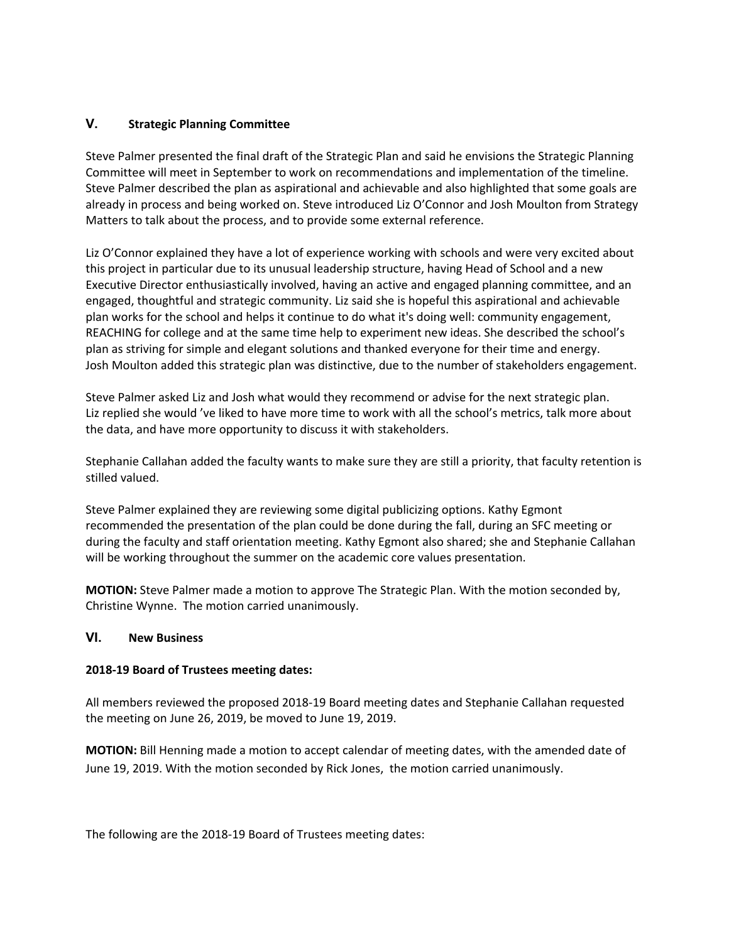# **V. Strategic Planning Committee**

Steve Palmer presented the final draft of the Strategic Plan and said he envisions the Strategic Planning Committee will meet in September to work on recommendations and implementation of the timeline. Steve Palmer described the plan as aspirational and achievable and also highlighted that some goals are already in process and being worked on. Steve introduced Liz O'Connor and Josh Moulton from Strategy Matters to talk about the process, and to provide some external reference.

Liz O'Connor explained they have a lot of experience working with schools and were very excited about this project in particular due to its unusual leadership structure, having Head of School and a new Executive Director enthusiastically involved, having an active and engaged planning committee, and an engaged, thoughtful and strategic community. Liz said she is hopeful this aspirational and achievable plan works for the school and helps it continue to do what it's doing well: community engagement, REACHING for college and at the same time help to experiment new ideas. She described the school's plan as striving for simple and elegant solutions and thanked everyone for their time and energy. Josh Moulton added this strategic plan was distinctive, due to the number of stakeholders engagement.

Steve Palmer asked Liz and Josh what would they recommend or advise for the next strategic plan. Liz replied she would 've liked to have more time to work with all the school's metrics, talk more about the data, and have more opportunity to discuss it with stakeholders.

Stephanie Callahan added the faculty wants to make sure they are still a priority, that faculty retention is stilled valued.

Steve Palmer explained they are reviewing some digital publicizing options. Kathy Egmont recommended the presentation of the plan could be done during the fall, during an SFC meeting or during the faculty and staff orientation meeting. Kathy Egmont also shared; she and Stephanie Callahan will be working throughout the summer on the academic core values presentation.

**MOTION:** Steve Palmer made a motion to approve The Strategic Plan. With the motion seconded by, Christine Wynne. The motion carried unanimously.

### **VI. New Business**

### **2018-19 Board of Trustees meeting dates:**

All members reviewed the proposed 2018-19 Board meeting dates and Stephanie Callahan requested the meeting on June 26, 2019, be moved to June 19, 2019.

**MOTION:** Bill Henning made a motion to accept calendar of meeting dates, with the amended date of June 19, 2019. With the motion seconded by Rick Jones, the motion carried unanimously.

The following are the 2018-19 Board of Trustees meeting dates: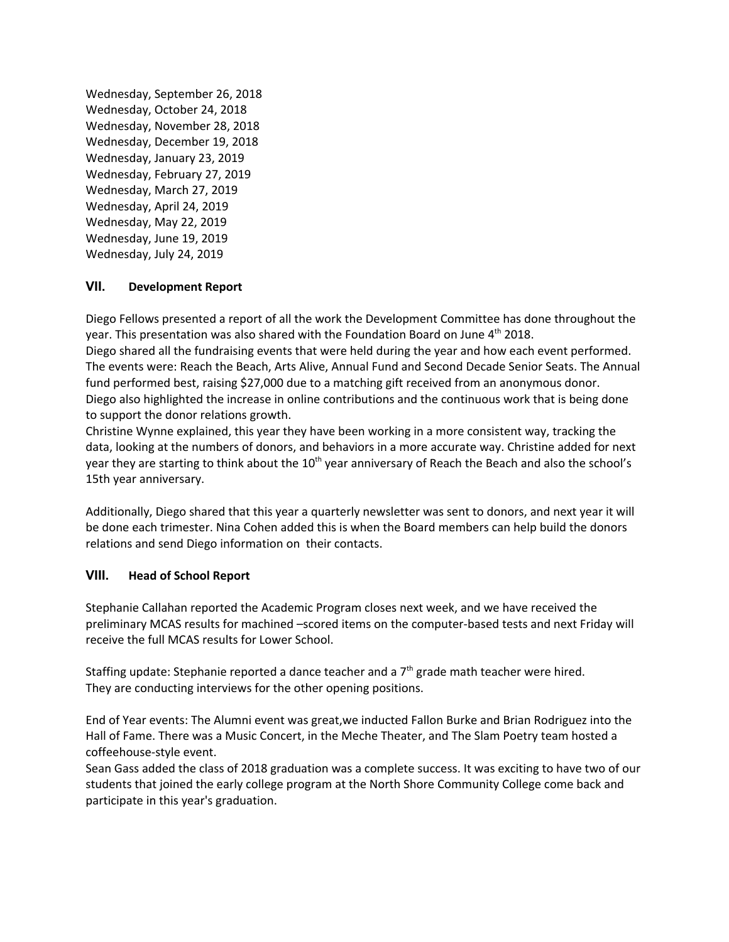Wednesday, September 26, 2018 Wednesday, October 24, 2018 Wednesday, November 28, 2018 Wednesday, December 19, 2018 Wednesday, January 23, 2019 Wednesday, February 27, 2019 Wednesday, March 27, 2019 Wednesday, April 24, 2019 Wednesday, May 22, 2019 Wednesday, June 19, 2019 Wednesday, July 24, 2019

## **VII. Development Report**

Diego Fellows presented a report of all the work the Development Committee has done throughout the year. This presentation was also shared with the Foundation Board on June  $4^{\text{th}}$  2018.

Diego shared all the fundraising events that were held during the year and how each event performed. The events were: Reach the Beach, Arts Alive, Annual Fund and Second Decade Senior Seats. The Annual fund performed best, raising \$27,000 due to a matching gift received from an anonymous donor. Diego also highlighted the increase in online contributions and the continuous work that is being done to support the donor relations growth.

Christine Wynne explained, this year they have been working in a more consistent way, tracking the data, looking at the numbers of donors, and behaviors in a more accurate way. Christine added for next year they are starting to think about the 10<sup>th</sup> year anniversary of Reach the Beach and also the school's 15th year anniversary.

Additionally, Diego shared that this year a quarterly newsletter was sent to donors, and next year it will be done each trimester. Nina Cohen added this is when the Board members can help build the donors relations and send Diego information on their contacts.

## **VIII. Head of School Report**

Stephanie Callahan reported the Academic Program closes next week, and we have received the preliminary MCAS results for machined –scored items on the computer-based tests and next Friday will receive the full MCAS results for Lower School.

Staffing update: Stephanie reported a dance teacher and a  $7<sup>th</sup>$  grade math teacher were hired. They are conducting interviews for the other opening positions.

End of Year events: The Alumni event was great,we inducted Fallon Burke and Brian Rodriguez into the Hall of Fame. There was a Music Concert, in the Meche Theater, and The Slam Poetry team hosted a coffeehouse-style event.

Sean Gass added the class of 2018 graduation was a complete success. It was exciting to have two of our students that joined the early college program at the North Shore Community College come back and participate in this year's graduation.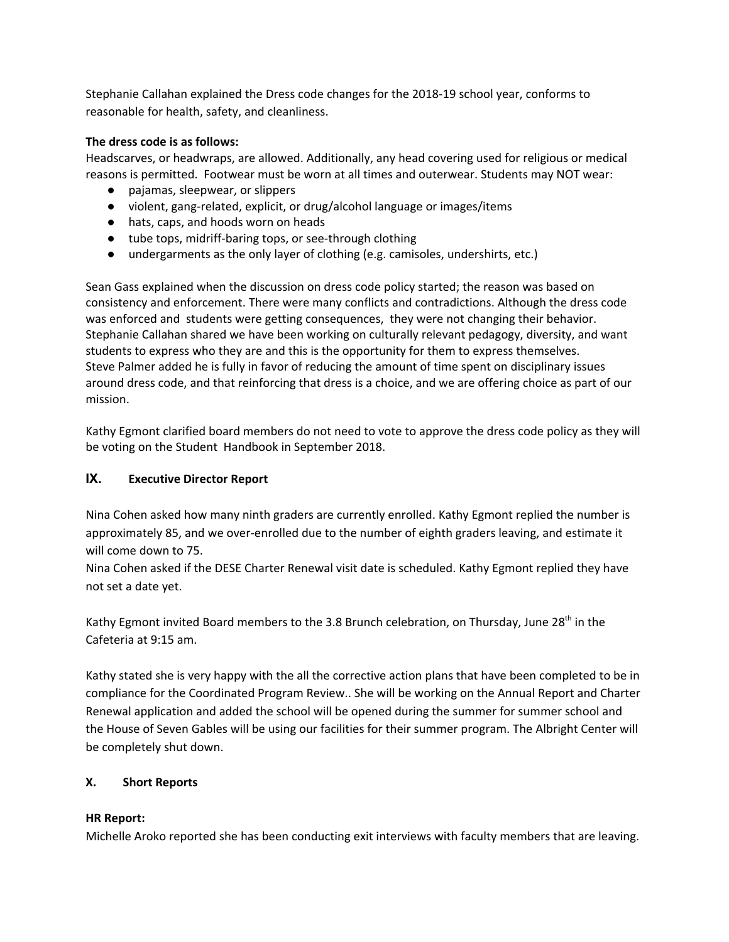Stephanie Callahan explained the Dress code changes for the 2018-19 school year, conforms to reasonable for health, safety, and cleanliness.

## **The dress code is as follows:**

Headscarves, or headwraps, are allowed. Additionally, any head covering used for religious or medical reasons is permitted. Footwear must be worn at all times and outerwear. Students may NOT wear:

- pajamas, sleepwear, or slippers
- violent, gang-related, explicit, or drug/alcohol language or images/items
- hats, caps, and hoods worn on heads
- tube tops, midriff-baring tops, or see-through clothing
- undergarments as the only layer of clothing (e.g. camisoles, undershirts, etc.)

Sean Gass explained when the discussion on dress code policy started; the reason was based on consistency and enforcement. There were many conflicts and contradictions. Although the dress code was enforced and students were getting consequences, they were not changing their behavior. Stephanie Callahan shared we have been working on culturally relevant pedagogy, diversity, and want students to express who they are and this is the opportunity for them to express themselves. Steve Palmer added he is fully in favor of reducing the amount of time spent on disciplinary issues around dress code, and that reinforcing that dress is a choice, and we are offering choice as part of our mission.

Kathy Egmont clarified board members do not need to vote to approve the dress code policy as they will be voting on the Student Handbook in September 2018.

# **IX. Executive Director Report**

Nina Cohen asked how many ninth graders are currently enrolled. Kathy Egmont replied the number is approximately 85, and we over-enrolled due to the number of eighth graders leaving, and estimate it will come down to 75.

Nina Cohen asked if the DESE Charter Renewal visit date is scheduled. Kathy Egmont replied they have not set a date yet.

Kathy Egmont invited Board members to the 3.8 Brunch celebration, on Thursday, June 28<sup>th</sup> in the Cafeteria at 9:15 am.

Kathy stated she is very happy with the all the corrective action plans that have been completed to be in compliance for the Coordinated Program Review.. She will be working on the Annual Report and Charter Renewal application and added the school will be opened during the summer for summer school and the House of Seven Gables will be using our facilities for their summer program. The Albright Center will be completely shut down.

# **X. Short Reports**

# **HR Report:**

Michelle Aroko reported she has been conducting exit interviews with faculty members that are leaving.